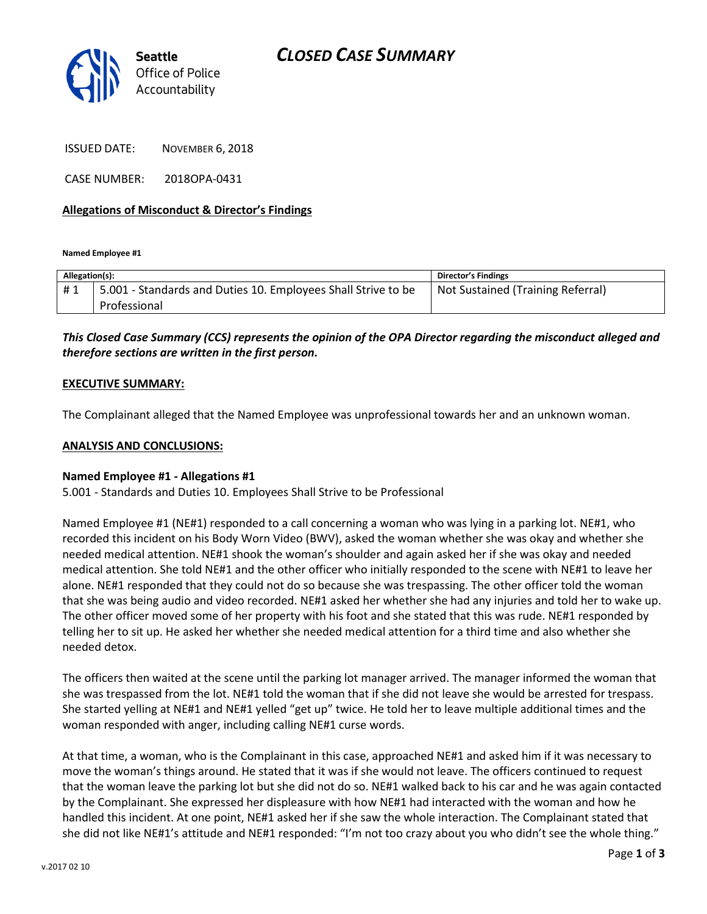

ISSUED DATE: NOVEMBER 6, 2018

CASE NUMBER: 2018OPA-0431

### **Allegations of Misconduct & Director's Findings**

**Named Employee #1**

| Allegation(s): |                                                               | <b>Director's Findings</b>        |
|----------------|---------------------------------------------------------------|-----------------------------------|
| #1             | 5.001 - Standards and Duties 10. Employees Shall Strive to be | Not Sustained (Training Referral) |
|                | Professional                                                  |                                   |

## *This Closed Case Summary (CCS) represents the opinion of the OPA Director regarding the misconduct alleged and therefore sections are written in the first person.*

### **EXECUTIVE SUMMARY:**

The Complainant alleged that the Named Employee was unprofessional towards her and an unknown woman.

#### **ANALYSIS AND CONCLUSIONS:**

#### **Named Employee #1 - Allegations #1**

5.001 - Standards and Duties 10. Employees Shall Strive to be Professional

Named Employee #1 (NE#1) responded to a call concerning a woman who was lying in a parking lot. NE#1, who recorded this incident on his Body Worn Video (BWV), asked the woman whether she was okay and whether she needed medical attention. NE#1 shook the woman's shoulder and again asked her if she was okay and needed medical attention. She told NE#1 and the other officer who initially responded to the scene with NE#1 to leave her alone. NE#1 responded that they could not do so because she was trespassing. The other officer told the woman that she was being audio and video recorded. NE#1 asked her whether she had any injuries and told her to wake up. The other officer moved some of her property with his foot and she stated that this was rude. NE#1 responded by telling her to sit up. He asked her whether she needed medical attention for a third time and also whether she needed detox.

The officers then waited at the scene until the parking lot manager arrived. The manager informed the woman that she was trespassed from the lot. NE#1 told the woman that if she did not leave she would be arrested for trespass. She started yelling at NE#1 and NE#1 yelled "get up" twice. He told her to leave multiple additional times and the woman responded with anger, including calling NE#1 curse words.

At that time, a woman, who is the Complainant in this case, approached NE#1 and asked him if it was necessary to move the woman's things around. He stated that it was if she would not leave. The officers continued to request that the woman leave the parking lot but she did not do so. NE#1 walked back to his car and he was again contacted by the Complainant. She expressed her displeasure with how NE#1 had interacted with the woman and how he handled this incident. At one point, NE#1 asked her if she saw the whole interaction. The Complainant stated that she did not like NE#1's attitude and NE#1 responded: "I'm not too crazy about you who didn't see the whole thing."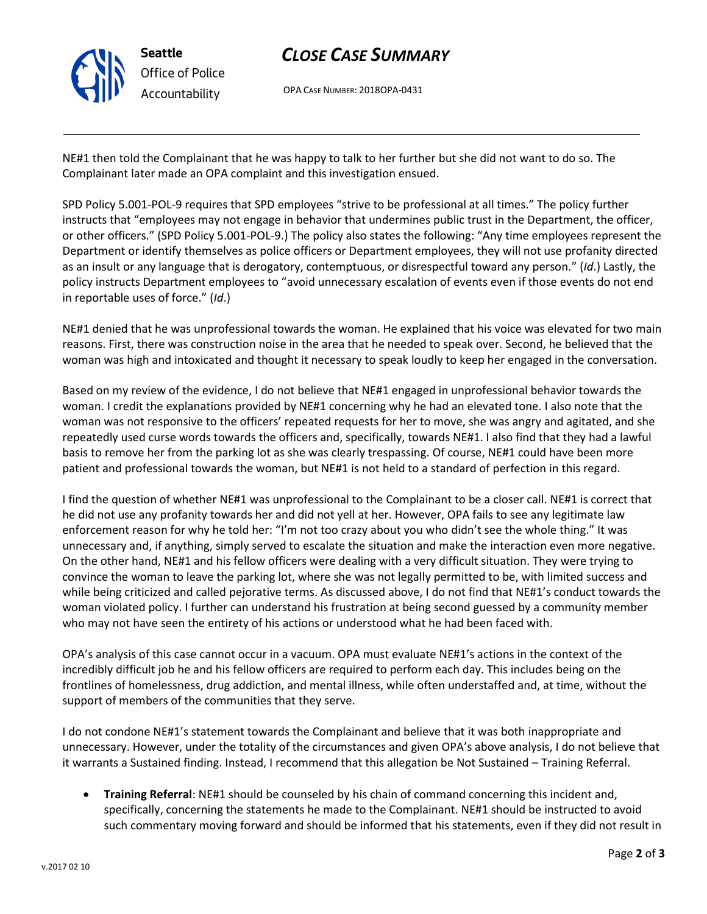

# *CLOSE CASE SUMMARY*

OPA CASE NUMBER: 2018OPA-0431

NE#1 then told the Complainant that he was happy to talk to her further but she did not want to do so. The Complainant later made an OPA complaint and this investigation ensued.

SPD Policy 5.001-POL-9 requires that SPD employees "strive to be professional at all times." The policy further instructs that "employees may not engage in behavior that undermines public trust in the Department, the officer, or other officers." (SPD Policy 5.001-POL-9.) The policy also states the following: "Any time employees represent the Department or identify themselves as police officers or Department employees, they will not use profanity directed as an insult or any language that is derogatory, contemptuous, or disrespectful toward any person." (*Id*.) Lastly, the policy instructs Department employees to "avoid unnecessary escalation of events even if those events do not end in reportable uses of force." (*Id*.)

NE#1 denied that he was unprofessional towards the woman. He explained that his voice was elevated for two main reasons. First, there was construction noise in the area that he needed to speak over. Second, he believed that the woman was high and intoxicated and thought it necessary to speak loudly to keep her engaged in the conversation.

Based on my review of the evidence, I do not believe that NE#1 engaged in unprofessional behavior towards the woman. I credit the explanations provided by NE#1 concerning why he had an elevated tone. I also note that the woman was not responsive to the officers' repeated requests for her to move, she was angry and agitated, and she repeatedly used curse words towards the officers and, specifically, towards NE#1. I also find that they had a lawful basis to remove her from the parking lot as she was clearly trespassing. Of course, NE#1 could have been more patient and professional towards the woman, but NE#1 is not held to a standard of perfection in this regard.

I find the question of whether NE#1 was unprofessional to the Complainant to be a closer call. NE#1 is correct that he did not use any profanity towards her and did not yell at her. However, OPA fails to see any legitimate law enforcement reason for why he told her: "I'm not too crazy about you who didn't see the whole thing." It was unnecessary and, if anything, simply served to escalate the situation and make the interaction even more negative. On the other hand, NE#1 and his fellow officers were dealing with a very difficult situation. They were trying to convince the woman to leave the parking lot, where she was not legally permitted to be, with limited success and while being criticized and called pejorative terms. As discussed above, I do not find that NE#1's conduct towards the woman violated policy. I further can understand his frustration at being second guessed by a community member who may not have seen the entirety of his actions or understood what he had been faced with.

OPA's analysis of this case cannot occur in a vacuum. OPA must evaluate NE#1's actions in the context of the incredibly difficult job he and his fellow officers are required to perform each day. This includes being on the frontlines of homelessness, drug addiction, and mental illness, while often understaffed and, at time, without the support of members of the communities that they serve.

I do not condone NE#1's statement towards the Complainant and believe that it was both inappropriate and unnecessary. However, under the totality of the circumstances and given OPA's above analysis, I do not believe that it warrants a Sustained finding. Instead, I recommend that this allegation be Not Sustained – Training Referral.

• **Training Referral**: NE#1 should be counseled by his chain of command concerning this incident and, specifically, concerning the statements he made to the Complainant. NE#1 should be instructed to avoid such commentary moving forward and should be informed that his statements, even if they did not result in